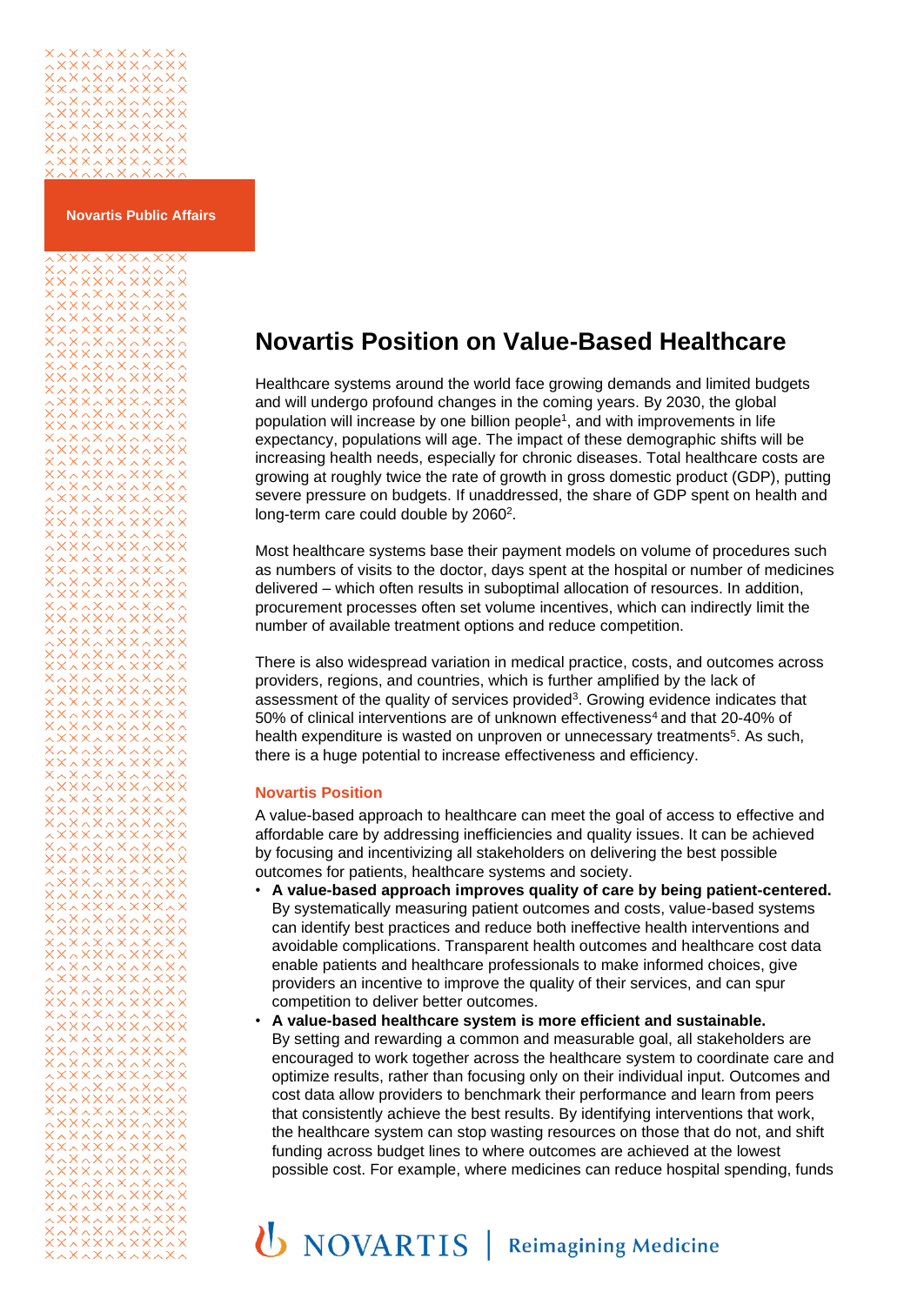

**Novartis Public Affairs**

## **Novartis Position on Value-Based Healthcare**

Healthcare systems around the world face growing demands and limited budgets and will undergo profound changes in the coming years. By 2030, the global population will increase by one billion people<sup>1</sup>[,](#page-2-0) and with improvements in life expectancy, populations will age. The impact of these demographic shifts will be increasing health needs, especially for chronic diseases. Total healthcare costs are growing at roughly twice the rate of growth in gross domestic product (GDP), putting severe pressure on budgets. If unaddressed, the share of GDP spent on health and long-term care could double by 2[0](#page-2-1)60<sup>2</sup>.

Most healthcare systems base their payment models on volume of procedures such as numbers of visits to the doctor, days spent at the hospital or number of medicines delivered – which often results in suboptimal allocation of resources. In addition, procurement processes often set volume incentives, which can indirectly limit the number of available treatment options and reduce competition.

There is also widespread variation in medical practice, costs, and outcomes across providers, regions, and countries, which is further amplified by the lack of assessment of the quality of services provided<sup>3</sup>[.](#page-2-2) Growing evidence indicates that 50% of clinical interventions are of unknown effectiveness<sup>[4](#page-2-3)</sup> and that 20-40% of health expenditure is wasted on unproven or unnecessary treatments<sup>5</sup>[.](#page-2-4) As such, there is a huge potential to increase effectiveness and efficiency.

## **Novartis Position**

A value-based approach to healthcare can meet the goal of access to effective and affordable care by addressing inefficiencies and quality issues. It can be achieved by focusing and incentivizing all stakeholders on delivering the best possible outcomes for patients, healthcare systems and society.

- **A value-based approach improves quality of care by being patient-centered.** By systematically measuring patient outcomes and costs, value-based systems can identify best practices and reduce both ineffective health interventions and avoidable complications. Transparent health outcomes and healthcare cost data enable patients and healthcare professionals to make informed choices, give providers an incentive to improve the quality of their services, and can spur competition to deliver better outcomes.
- **A value-based healthcare system is more efficient and sustainable.** By setting and rewarding a common and measurable goal, all stakeholders are encouraged to work together across the healthcare system to coordinate care and optimize results, rather than focusing only on their individual input. Outcomes and cost data allow providers to benchmark their performance and learn from peers that consistently achieve the best results. By identifying interventions that work, the healthcare system can stop wasting resources on those that do not, and shift funding across budget lines to where outcomes are achieved at the lowest possible cost. For example, where medicines can reduce hospital spending, funds

## **U** NOVARTIS | Reimagining Medicine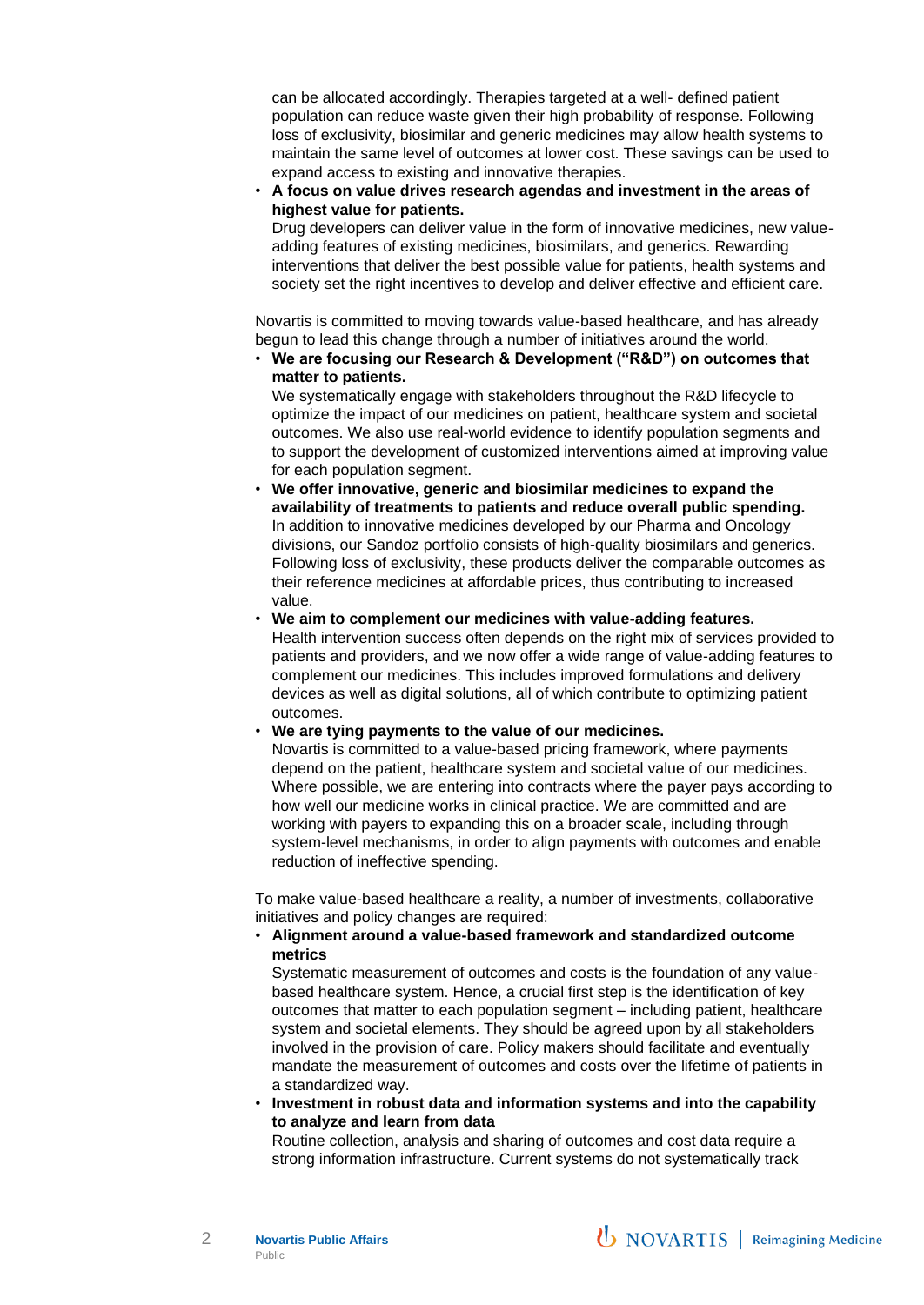can be allocated accordingly. Therapies targeted at a well- defined patient population can reduce waste given their high probability of response. Following loss of exclusivity, biosimilar and generic medicines may allow health systems to maintain the same level of outcomes at lower cost. These savings can be used to expand access to existing and innovative therapies.

• **A focus on value drives research agendas and investment in the areas of highest value for patients.**

Drug developers can deliver value in the form of innovative medicines, new valueadding features of existing medicines, biosimilars, and generics. Rewarding interventions that deliver the best possible value for patients, health systems and society set the right incentives to develop and deliver effective and efficient care.

Novartis is committed to moving towards value-based healthcare, and has already begun to lead this change through a number of initiatives around the world.

• **We are focusing our Research & Development ("R&D") on outcomes that matter to patients.**

We systematically engage with stakeholders throughout the R&D lifecycle to optimize the impact of our medicines on patient, healthcare system and societal outcomes. We also use real-world evidence to identify population segments and to support the development of customized interventions aimed at improving value for each population segment.

• **We offer innovative, generic and biosimilar medicines to expand the availability of treatments to patients and reduce overall public spending.** In addition to innovative medicines developed by our Pharma and Oncology divisions, our Sandoz portfolio consists of high-quality biosimilars and generics. Following loss of exclusivity, these products deliver the comparable outcomes as their reference medicines at affordable prices, thus contributing to increased value.

• **We aim to complement our medicines with value-adding features.** Health intervention success often depends on the right mix of services provided to patients and providers, and we now offer a wide range of value-adding features to complement our medicines. This includes improved formulations and delivery devices as well as digital solutions, all of which contribute to optimizing patient outcomes.

• **We are tying payments to the value of our medicines.**

Novartis is committed to a value-based pricing framework, where payments depend on the patient, healthcare system and societal value of our medicines. Where possible, we are entering into contracts where the payer pays according to how well our medicine works in clinical practice. We are committed and are working with payers to expanding this on a broader scale, including through system-level mechanisms, in order to align payments with outcomes and enable reduction of ineffective spending.

To make value-based healthcare a reality, a number of investments, collaborative initiatives and policy changes are required:

## • **Alignment around a value-based framework and standardized outcome metrics**

Systematic measurement of outcomes and costs is the foundation of any valuebased healthcare system. Hence, a crucial first step is the identification of key outcomes that matter to each population segment – including patient, healthcare system and societal elements. They should be agreed upon by all stakeholders involved in the provision of care. Policy makers should facilitate and eventually mandate the measurement of outcomes and costs over the lifetime of patients in a standardized way.

• **Investment in robust data and information systems and into the capability to analyze and learn from data**

Routine collection, analysis and sharing of outcomes and cost data require a strong information infrastructure. Current systems do not systematically track